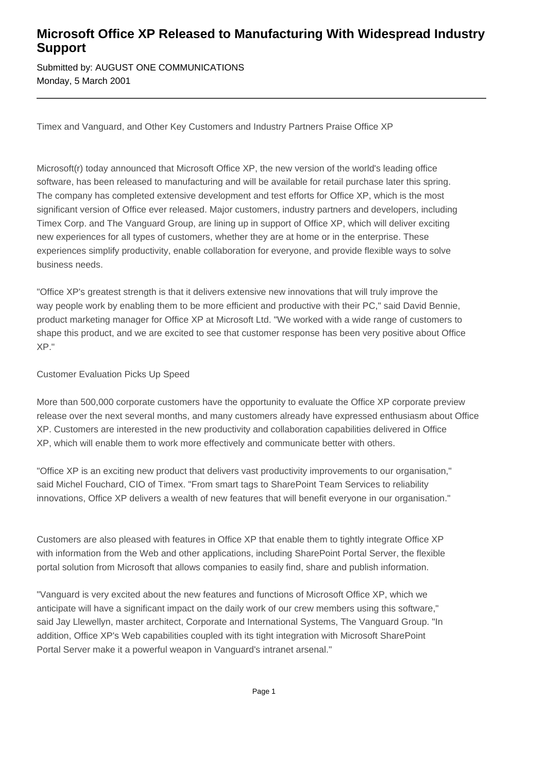## **Microsoft Office XP Released to Manufacturing With Widespread Industry Support**

Submitted by: AUGUST ONE COMMUNICATIONS Monday, 5 March 2001

Timex and Vanguard, and Other Key Customers and Industry Partners Praise Office XP

Microsoft(r) today announced that Microsoft Office XP, the new version of the world's leading office software, has been released to manufacturing and will be available for retail purchase later this spring. The company has completed extensive development and test efforts for Office XP, which is the most significant version of Office ever released. Major customers, industry partners and developers, including Timex Corp. and The Vanguard Group, are lining up in support of Office XP, which will deliver exciting new experiences for all types of customers, whether they are at home or in the enterprise. These experiences simplify productivity, enable collaboration for everyone, and provide flexible ways to solve business needs.

"Office XP's greatest strength is that it delivers extensive new innovations that will truly improve the way people work by enabling them to be more efficient and productive with their PC," said David Bennie, product marketing manager for Office XP at Microsoft Ltd. "We worked with a wide range of customers to shape this product, and we are excited to see that customer response has been very positive about Office XP."

Customer Evaluation Picks Up Speed

More than 500,000 corporate customers have the opportunity to evaluate the Office XP corporate preview release over the next several months, and many customers already have expressed enthusiasm about Office XP. Customers are interested in the new productivity and collaboration capabilities delivered in Office XP, which will enable them to work more effectively and communicate better with others.

"Office XP is an exciting new product that delivers vast productivity improvements to our organisation," said Michel Fouchard, CIO of Timex. "From smart tags to SharePoint Team Services to reliability innovations, Office XP delivers a wealth of new features that will benefit everyone in our organisation."

Customers are also pleased with features in Office XP that enable them to tightly integrate Office XP with information from the Web and other applications, including SharePoint Portal Server, the flexible portal solution from Microsoft that allows companies to easily find, share and publish information.

"Vanguard is very excited about the new features and functions of Microsoft Office XP, which we anticipate will have a significant impact on the daily work of our crew members using this software," said Jay Llewellyn, master architect, Corporate and International Systems, The Vanguard Group. "In addition, Office XP's Web capabilities coupled with its tight integration with Microsoft SharePoint Portal Server make it a powerful weapon in Vanguard's intranet arsenal."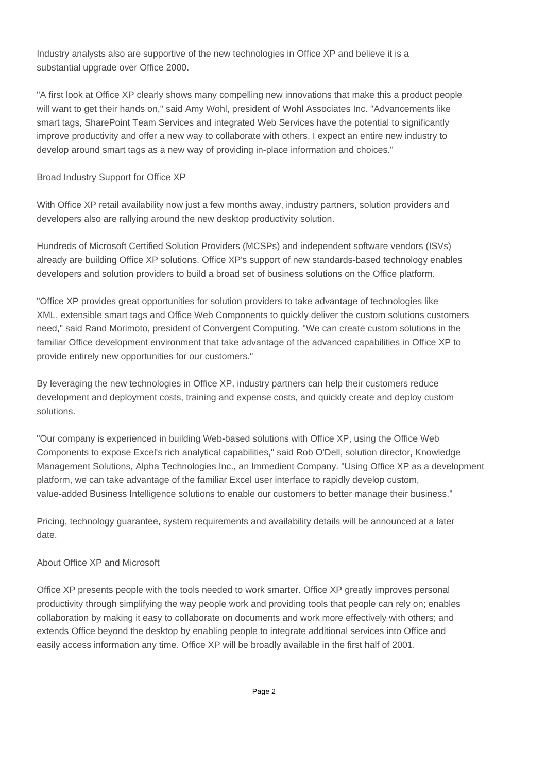Industry analysts also are supportive of the new technologies in Office XP and believe it is a substantial upgrade over Office 2000.

"A first look at Office XP clearly shows many compelling new innovations that make this a product people will want to get their hands on," said Amy Wohl, president of Wohl Associates Inc. "Advancements like smart tags, SharePoint Team Services and integrated Web Services have the potential to significantly improve productivity and offer a new way to collaborate with others. I expect an entire new industry to develop around smart tags as a new way of providing in-place information and choices."

## Broad Industry Support for Office XP

With Office XP retail availability now just a few months away, industry partners, solution providers and developers also are rallying around the new desktop productivity solution.

Hundreds of Microsoft Certified Solution Providers (MCSPs) and independent software vendors (ISVs) already are building Office XP solutions. Office XP's support of new standards-based technology enables developers and solution providers to build a broad set of business solutions on the Office platform.

"Office XP provides great opportunities for solution providers to take advantage of technologies like XML, extensible smart tags and Office Web Components to quickly deliver the custom solutions customers need," said Rand Morimoto, president of Convergent Computing. "We can create custom solutions in the familiar Office development environment that take advantage of the advanced capabilities in Office XP to provide entirely new opportunities for our customers."

By leveraging the new technologies in Office XP, industry partners can help their customers reduce development and deployment costs, training and expense costs, and quickly create and deploy custom solutions.

"Our company is experienced in building Web-based solutions with Office XP, using the Office Web Components to expose Excel's rich analytical capabilities," said Rob O'Dell, solution director, Knowledge Management Solutions, Alpha Technologies Inc., an Immedient Company. "Using Office XP as a development platform, we can take advantage of the familiar Excel user interface to rapidly develop custom, value-added Business Intelligence solutions to enable our customers to better manage their business."

Pricing, technology guarantee, system requirements and availability details will be announced at a later date.

## About Office XP and Microsoft

Office XP presents people with the tools needed to work smarter. Office XP greatly improves personal productivity through simplifying the way people work and providing tools that people can rely on; enables collaboration by making it easy to collaborate on documents and work more effectively with others; and extends Office beyond the desktop by enabling people to integrate additional services into Office and easily access information any time. Office XP will be broadly available in the first half of 2001.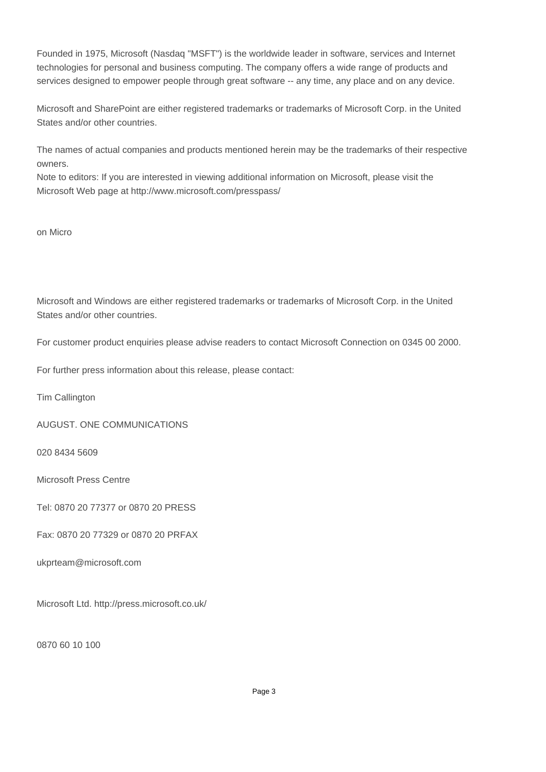Founded in 1975, Microsoft (Nasdaq "MSFT") is the worldwide leader in software, services and Internet technologies for personal and business computing. The company offers a wide range of products and services designed to empower people through great software -- any time, any place and on any device.

Microsoft and SharePoint are either registered trademarks or trademarks of Microsoft Corp. in the United States and/or other countries.

The names of actual companies and products mentioned herein may be the trademarks of their respective owners.

Note to editors: If you are interested in viewing additional information on Microsoft, please visit the Microsoft Web page at http://www.microsoft.com/presspass/

on Micro

Microsoft and Windows are either registered trademarks or trademarks of Microsoft Corp. in the United States and/or other countries.

For customer product enquiries please advise readers to contact Microsoft Connection on 0345 00 2000.

For further press information about this release, please contact:

Tim Callington

AUGUST. ONE COMMUNICATIONS

020 8434 5609

Microsoft Press Centre

Tel: 0870 20 77377 or 0870 20 PRESS

Fax: 0870 20 77329 or 0870 20 PRFAX

ukprteam@microsoft.com

Microsoft Ltd. http://press.microsoft.co.uk/

0870 60 10 100